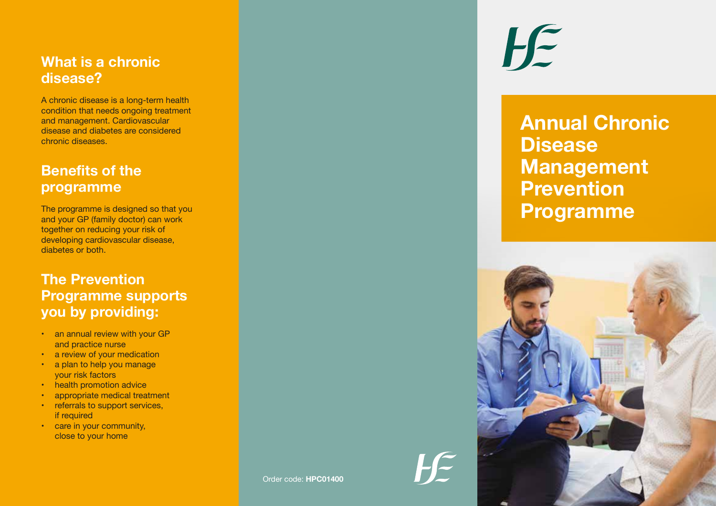#### **What is a chronic disease?**

A chronic disease is a long-term health condition that needs ongoing treatment and management. Cardiovascular disease and diabetes are considered chronic diseases.

## **Benefits of the programme**

The programme is designed so that you and your GP (family doctor) can work together on reducing your risk of developing cardiovascular disease, diabetes or both.

# **The Prevention Programme supports you by providing:**

- an annual review with your GP and practice nurse
- a review of your medication
- a plan to help you manage your risk factors
- health promotion advice
- appropriate medical treatment
- referrals to support services, if required
- care in your community, close to your home

 $H$ 

# **Annual Chronic Disease Management Prevention Programme**



 $H \in$